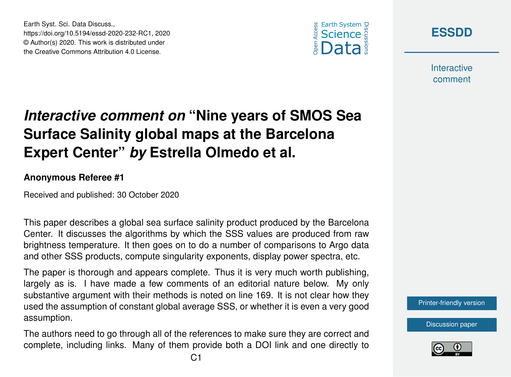





**Interactive** comment

## *Interactive comment on* **"Nine years of SMOS Sea Surface Salinity global maps at the Barcelona Expert Center"** *by* **Estrella Olmedo et al.**

## **Anonymous Referee #1**

Received and published: 30 October 2020

This paper describes a global sea surface salinity product produced by the Barcelona Center. It discusses the algorithms by which the SSS values are produced from raw brightness temperature. It then goes on to do a number of comparisons to Argo data and other SSS products, compute singularity exponents, display power spectra, etc.

The paper is thorough and appears complete. Thus it is very much worth publishing, largely as is. I have made a few comments of an editorial nature below. My only substantive argument with their methods is noted on line 169. It is not clear how they used the assumption of constant global average SSS, or whether it is even a very good assumption.

The authors need to go through all of the references to make sure they are correct and complete, including links. Many of them provide both a DOI link and one directly to

[Printer-friendly version](https://essd.copernicus.org/preprints/essd-2020-232/essd-2020-232-RC1-print.pdf)

[Discussion paper](https://essd.copernicus.org/preprints/essd-2020-232)

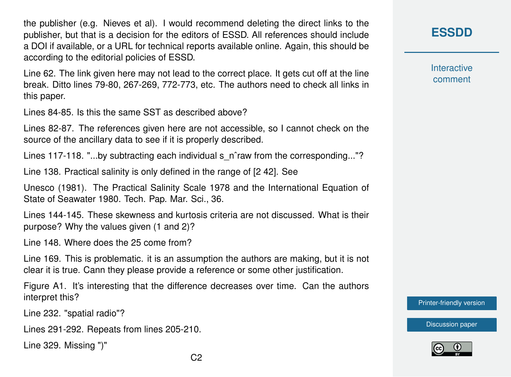the publisher (e.g. Nieves et al). I would recommend deleting the direct links to the publisher, but that is a decision for the editors of ESSD. All references should include a DOI if available, or a URL for technical reports available online. Again, this should be according to the editorial policies of ESSD.

Line 62. The link given here may not lead to the correct place. It gets cut off at the line break. Ditto lines 79-80, 267-269, 772-773, etc. The authors need to check all links in this paper.

Lines 84-85. Is this the same SST as described above?

Lines 82-87. The references given here are not accessible, so I cannot check on the source of the ancillary data to see if it is properly described.

Lines 117-118. "...by subtracting each individual s\_n^raw from the corresponding..."?

Line 138. Practical salinity is only defined in the range of [2 42]. See

Unesco (1981). The Practical Salinity Scale 1978 and the International Equation of State of Seawater 1980. Tech. Pap. Mar. Sci., 36.

Lines 144-145. These skewness and kurtosis criteria are not discussed. What is their purpose? Why the values given (1 and 2)?

Line 148. Where does the 25 come from?

Line 169. This is problematic. it is an assumption the authors are making, but it is not clear it is true. Cann they please provide a reference or some other justification.

Figure A1. It's interesting that the difference decreases over time. Can the authors interpret this?

Line 232. "spatial radio"?

Lines 291-292. Repeats from lines 205-210.

Line 329. Missing ")"

**[ESSDD](https://essd.copernicus.org/preprints/)**

**Interactive** comment

[Printer-friendly version](https://essd.copernicus.org/preprints/essd-2020-232/essd-2020-232-RC1-print.pdf)

[Discussion paper](https://essd.copernicus.org/preprints/essd-2020-232)